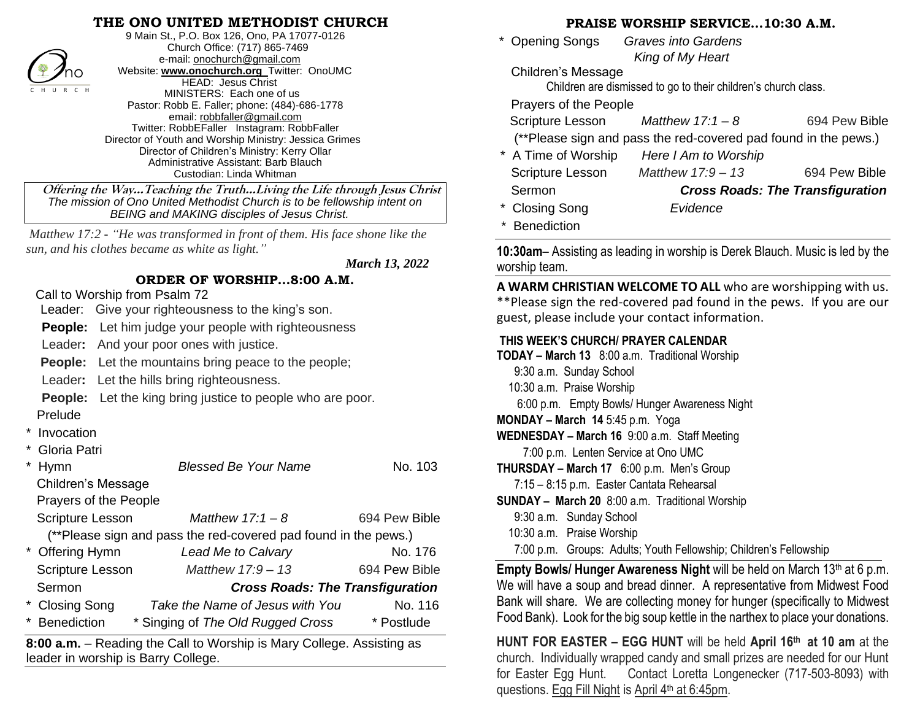## **THE ONO UNITED METHODIST CHURCH**



9 Main St., P.O. Box 126, Ono, PA 17077-0126 Church Office: (717) 865-7469 e-mail[: onochurch@gmail.com](mailto:onochurch@gmail.com) Website: **[www.onochurch.org](http://www.onochurch.org/)** Twitter: OnoUMC HEAD: Jesus Christ MINISTERS: Each one of us Pastor: Robb E. Faller; phone: (484)-686-1778 email: [robbfaller@gmail.com](mailto:robbfaller@gmail.com) Twitter: RobbEFaller Instagram: RobbFaller Director of Youth and Worship Ministry: Jessica Grimes Director of Children's Ministry: Kerry Ollar Administrative Assistant: Barb Blauch Custodian: Linda Whitman

 **Offering the Way…Teaching the Truth…Living the Life through Jesus Christ** *The mission of Ono United Methodist Church is to be fellowship intent on BEING and MAKING disciples of Jesus Christ.* 

*Matthew 17:2 - "He was transformed in front of them. His face shone like the sun, and his clothes became as white as light."*

 *March 13, 2022* 

## **ORDER OF WORSHIP…8:00 A.M.**

Call to Worship from Psalm 72

leader in worship is Barry College. 

Leader: Give your righteousness to the king's son.

**People:** Let him judge your people with righteousness

Leader**:** And your poor ones with justice.

**People:** Let the mountains bring peace to the people;

Leader**:** Let the hills bring righteousness.

**People:** Let the king bring justice to people who are poor.

- Prelude
- **Invocation**
- Gloria Patri

| Hymn                                                                  | <b>Blessed Be Your Name</b>             | No. 103       |  |  |  |
|-----------------------------------------------------------------------|-----------------------------------------|---------------|--|--|--|
| Children's Message                                                    |                                         |               |  |  |  |
| Prayers of the People                                                 |                                         |               |  |  |  |
| <b>Scripture Lesson</b>                                               | Matthew $17:1-8$                        | 694 Pew Bible |  |  |  |
| (**Please sign and pass the red-covered pad found in the pews.)       |                                         |               |  |  |  |
| * Offering Hymn                                                       | Lead Me to Calvary                      | No. 176       |  |  |  |
| <b>Scripture Lesson</b>                                               | Matthew $17:9 - 13$                     | 694 Pew Bible |  |  |  |
| Sermon                                                                | <b>Cross Roads: The Transfiguration</b> |               |  |  |  |
| * Closing Song                                                        | Take the Name of Jesus with You         | No. 116       |  |  |  |
| * Benediction                                                         | * Singing of The Old Rugged Cross       | * Postlude    |  |  |  |
| 8:00 a.m. - Reading the Call to Worship is Mary College. Assisting as |                                         |               |  |  |  |

 **PRAISE WORSHIP SERVICE…10:30 A.M.** 

 \* Opening Songs *Graves into Gardens King of My Heart* 

Children's Message

Children are dismissed to go to their children's church class.

Prayers of the People

Scripture Lesson *Matthew 17:1 – 8* 694 Pew Bible

(\*\*Please sign and pass the red-covered pad found in the pews.)

| * A Time of Worship     | Here I Am to Worship |                                         |
|-------------------------|----------------------|-----------------------------------------|
| <b>Scripture Lesson</b> | Matthew $17.9 - 13$  | 694 Pew Bible                           |
| Sermon                  |                      | <b>Cross Roads: The Transfiguration</b> |
| * Closing Song          | Evidence             |                                         |
| * Benediction           |                      |                                         |

**10:30am**– Assisting as leading in worship is Derek Blauch. Music is led by the worship team.

**A WARM CHRISTIAN WELCOME TO ALL** who are worshipping with us. \*\*Please sign the red-covered pad found in the pews. If you are our guest, please include your contact information.

## **THIS WEEK'S CHURCH/ PRAYER CALENDAR**

**TODAY – March 13** 8:00 a.m. Traditional Worship

- 9:30 a.m. Sunday School
- 10:30 a.m. Praise Worship
	- 6:00 p.m. Empty Bowls/ Hunger Awareness Night
- **MONDAY – March 14** 5:45 p.m. Yoga

**WEDNESDAY – March 16** 9:00 a.m. Staff Meeting

7:00 p.m. Lenten Service at Ono UMC

**THURSDAY – March 17** 6:00 p.m. Men's Group

7:15 – 8:15 p.m. Easter Cantata Rehearsal

- **SUNDAY – March 20** 8:00 a.m. Traditional Worship
	- 9:30 a.m. Sunday School
	- 10:30 a.m. Praise Worship
	- 7:00 p.m. Groups: Adults; Youth Fellowship; Children's Fellowship

l **Empty Bowls/ Hunger Awareness Night** will be held on March 13<sup>th</sup> at 6 p.m. We will have a soup and bread dinner. A representative from Midwest Food Bank will share. We are collecting money for hunger (specifically to Midwest Food Bank). Look for the big soup kettle in the narthex to place your donations.

**HUNT FOR EASTER – EGG HUNT** will be held **April 16th at 10 am** at the church.Individually wrapped candy and small prizes are needed for our Hunt for Easter Egg Hunt. Contact Loretta Longenecker (717-503-8093) with questions. Egg Fill Night is April 4<sup>th</sup> at 6:45pm.